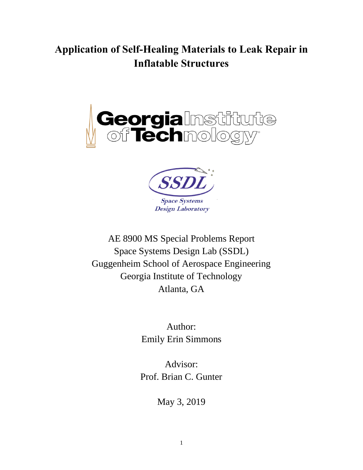# **Application of Self-Healing Materials to Leak Repair in Inflatable Structures**





AE 8900 MS Special Problems Report Space Systems Design Lab (SSDL) Guggenheim School of Aerospace Engineering Georgia Institute of Technology Atlanta, GA

> Author: Emily Erin Simmons

Advisor: Prof. Brian C. Gunter

May 3, 2019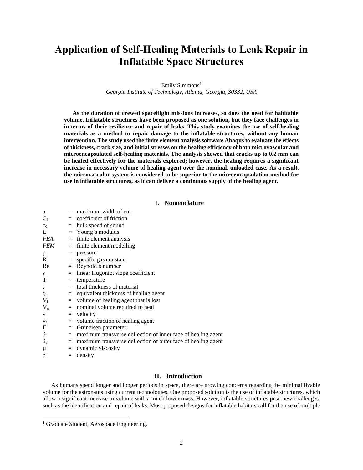# **Application of Self-Healing Materials to Leak Repair in Inflatable Space Structures**

Emily Simmons<sup>1</sup> *Georgia Institute of Technology, Atlanta, Georgia, 30332, USA*

**As the duration of crewed spaceflight missions increases, so does the need for habitable volume. Inflatable structures have been proposed as one solution, but they face challenges in in terms of their resilience and repair of leaks. This study examines the use of self-healing materials as a method to repair damage to the inflatable structures, without any human intervention. The study used the finite element analysis software Abaqus to evaluate the effects of thickness, crack size, and initial stresses on the healing efficiency of both microvascular and microencapsulated self-healing materials. The analysis showed that cracks up to 0.2 mm can be healed effectively for the materials explored; however, the healing requires a significant increase in necessary volume of healing agent over the nominal, unloaded case. As a result, the microvascular system is considered to be superior to the microencapsulation method for use in inflatable structures, as it can deliver a continuous supply of the healing agent.**

#### **I. Nomenclature**

|     | maximum width of cut                                             |
|-----|------------------------------------------------------------------|
|     |                                                                  |
|     | $=$ coefficient of friction                                      |
|     | $=$ bulk speed of sound                                          |
|     | $=$ Young's modulus                                              |
|     | $=$ finite element analysis                                      |
|     | $=$ finite element modelling                                     |
| $=$ | pressure                                                         |
|     | $=$ specific gas constant                                        |
| $=$ | Reynold's number                                                 |
| $=$ | linear Hugoniot slope coefficient                                |
| $=$ | temperature                                                      |
|     | $=$ total thickness of material                                  |
|     | $=$ equivalent thickness of healing agent                        |
| $=$ | volume of healing agent that is lost                             |
|     | $=$ nominal volume required to heal                              |
| $=$ | velocity                                                         |
|     | $=$ volume fraction of healing agent                             |
| $=$ | Grüneisen parameter                                              |
|     | $=$ maximum transverse deflection of inner face of healing agent |
|     | = maximum transverse deflection of outer face of healing agent   |
| $=$ | dynamic viscosity                                                |
|     | $=$ density                                                      |
|     |                                                                  |

#### **II. Introduction**

As humans spend longer and longer periods in space, there are growing concerns regarding the minimal livable volume for the astronauts using current technologies. One proposed solution is the use of inflatable structures, which allow a significant increase in volume with a much lower mass. However, inflatable structures pose new challenges, such as the identification and repair of leaks. Most proposed designs for inflatable habitats call for the use of multiple

<sup>&</sup>lt;sup>1</sup> Graduate Student, Aerospace Engineering.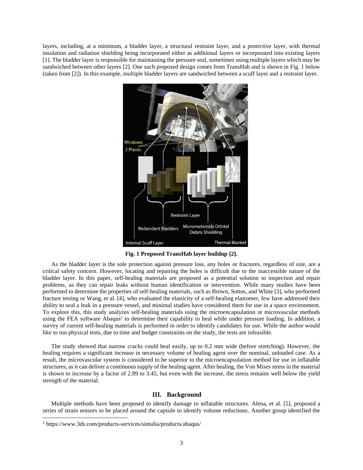layers, including, at a minimum, a bladder layer, a structural restraint layer, and a protective layer, with thermal insulation and radiation shielding being incorporated either as additional layers or incorporated into existing layers [1]. The bladder layer is responsible for maintaining the pressure seal, sometimes using multiple layers which may be sandwiched between other layers [2]. One such proposed design comes from TransHab and is shown in Fig. 1 below (taken from [2]). In this example, multiple bladder layers are sandwiched between a scuff layer and a restraint layer.



**Fig. 1 Proposed TransHab layer buildup [2].**

As the bladder layer is the sole protection against pressure loss, any holes or fractures, regardless of size, are a critical safety concern. However, locating and repairing the holes is difficult due to the inaccessible nature of the bladder layer. In this paper, self-healing materials are proposed as a potential solution to inspection and repair problems, as they can repair leaks without human identification or intervention. While many studies have been performed to determine the properties of self-healing materials, such as Brown, Sottos, and White [3], who performed fracture testing or Wang, et al. [4], who evaluated the elasticity of a self-healing elastomer, few have addressed their ability to seal a leak in a pressure vessel, and minimal studies have considered them for use in a space environment. To explore this, this study analyzes self-healing materials using the microencapsulation or microvascular methods using the FEA software Abaqus<sup>2</sup> to determine their capability to heal while under pressure loading. In addition, a survey of current self-healing materials is performed in order to identify candidates for use. While the author would like to run physical tests, due to time and budget constraints on the study, the tests are infeasible.

The study showed that narrow cracks could heal easily, up to 0.2 mm wide (before stretching). However, the healing requires a significant increase in necessary volume of healing agent over the nominal, unloaded case. As a result, the microvascular system is considered to be superior to the microencapsulation method for use in inflatable structures, as it can deliver a continuous supply of the healing agent. After healing, the Von Mises stress in the material is shown to increase by a factor of 2.89 to 3.45, but even with the increase, the stress remains well below the yield strength of the material.

# **III. Background**

Multiple methods have been proposed to identify damage to inflatable structures. Alena, et al. [5], proposed a series of strain sensors to be placed around the capsule to identify volume reductions. Another group identified the

<sup>2</sup> https://www.3ds.com/products-services/simulia/products/abaqus/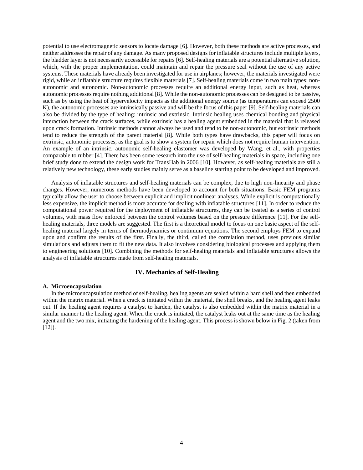potential to use electromagnetic sensors to locate damage [6]. However, both these methods are active processes, and neither addresses the repair of any damage. As many proposed designs for inflatable structures include multiple layers, the bladder layer is not necessarily accessible for repairs [6]. Self-healing materials are a potential alternative solution, which, with the proper implementation, could maintain and repair the pressure seal without the use of any active systems. These materials have already been investigated for use in airplanes; however, the materials investigated were rigid, while an inflatable structure requires flexible materials [7]. Self-healing materials come in two main types: nonautonomic and autonomic. Non-autonomic processes require an additional energy input, such as heat, whereas autonomic processes require nothing additional [8]. While the non-autonomic processes can be designed to be passive, such as by using the heat of hypervelocity impacts as the additional energy source (as temperatures can exceed 2500 K), the autonomic processes are intrinsically passive and will be the focus of this paper [9]. Self-healing materials can also be divided by the type of healing: intrinsic and extrinsic. Intrinsic healing uses chemical bonding and physical interaction between the crack surfaces, while extrinsic has a healing agent embedded in the material that is released upon crack formation. Intrinsic methods cannot always be used and tend to be non-autonomic, but extrinsic methods tend to reduce the strength of the parent material [8]. While both types have drawbacks, this paper will focus on extrinsic, autonomic processes, as the goal is to show a system for repair which does not require human intervention. An example of an intrinsic, autonomic self-healing elastomer was developed by Wang, et al., with properties comparable to rubber [4]. There has been some research into the use of self-healing materials in space, including one brief study done to extend the design work for TransHab in 2006 [10]. However, as self-healing materials are still a relatively new technology, these early studies mainly serve as a baseline starting point to be developed and improved.

Analysis of inflatable structures and self-healing materials can be complex, due to high non-linearity and phase changes. However, numerous methods have been developed to account for both situations. Basic FEM programs typically allow the user to choose between explicit and implicit nonlinear analyses. While explicit is computationally less expensive, the implicit method is more accurate for dealing with inflatable structures [11]. In order to reduce the computational power required for the deployment of inflatable structures, they can be treated as a series of control volumes, with mass flow enforced between the control volumes based on the pressure difference [11]. For the selfhealing materials, three models are suggested. The first is a theoretical model to focus on one basic aspect of the selfhealing material largely in terms of thermodynamics or continuum equations. The second employs FEM to expand upon and confirm the results of the first. Finally, the third, called the correlation method, uses previous similar simulations and adjusts them to fit the new data. It also involves considering biological processes and applying them to engineering solutions [10]. Combining the methods for self-healing materials and inflatable structures allows the analysis of inflatable structures made from self-healing materials.

# **IV. Mechanics of Self-Healing**

#### **A. Microencapsulation**

In the microencapsulation method of self-healing, healing agents are sealed within a hard shell and then embedded within the matrix material. When a crack is initiated within the material, the shell breaks, and the healing agent leaks out. If the healing agent requires a catalyst to harden, the catalyst is also embedded within the matrix material in a similar manner to the healing agent. When the crack is initiated, the catalyst leaks out at the same time as the healing agent and the two mix, initiating the hardening of the healing agent. This process is shown below in Fig. 2 (taken from  $[12]$ ).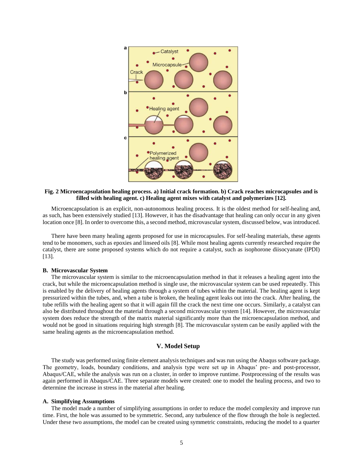

## **Fig. 2 Microencapsulation healing process. a) Initial crack formation. b) Crack reaches microcapsules and is filled with healing agent. c) Healing agent mixes with catalyst and polymerizes [12].**

Microencapsulation is an explicit, non-autonomous healing process. It is the oldest method for self-healing and, as such, has been extensively studied [13]. However, it has the disadvantage that healing can only occur in any given location once [8]. In order to overcome this, a second method, microvascular system, discussed below, was introduced.

There have been many healing agents proposed for use in microcapsules. For self-healing materials, these agents tend to be monomers, such as epoxies and linseed oils [8]. While most healing agents currently researched require the catalyst, there are some proposed systems which do not require a catalyst, such as isophorone diisocyanate (IPDI) [13].

# **B. Microvascular System**

The microvascular system is similar to the microencapsulation method in that it releases a healing agent into the crack, but while the microencapsulation method is single use, the microvascular system can be used repeatedly. This is enabled by the delivery of healing agents through a system of tubes within the material. The healing agent is kept pressurized within the tubes, and, when a tube is broken, the healing agent leaks out into the crack. After healing, the tube refills with the healing agent so that it will again fill the crack the next time one occurs. Similarly, a catalyst can also be distributed throughout the material through a second microvascular system [14]. However, the microvascular system does reduce the strength of the matrix material significantly more than the microencapsulation method, and would not be good in situations requiring high strength [8]. The microvascular system can be easily applied with the same healing agents as the microencapsulation method.

#### **V. Model Setup**

The study was performed using finite element analysis techniques and was run using the Abaqus software package. The geometry, loads, boundary conditions, and analysis type were set up in Abaqus' pre- and post-processor, Abaqus/CAE, while the analysis was run on a cluster, in order to improve runtime. Postprocessing of the results was again performed in Abaqus/CAE. Three separate models were created: one to model the healing process, and two to determine the increase in stress in the material after healing.

#### **A. Simplifying Assumptions**

The model made a number of simplifying assumptions in order to reduce the model complexity and improve run time. First, the hole was assumed to be symmetric. Second, any turbulence of the flow through the hole is neglected. Under these two assumptions, the model can be created using symmetric constraints, reducing the model to a quarter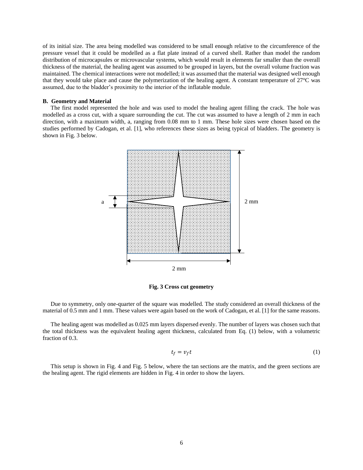of its initial size. The area being modelled was considered to be small enough relative to the circumference of the pressure vessel that it could be modelled as a flat plate instead of a curved shell. Rather than model the random distribution of microcapsules or microvascular systems, which would result in elements far smaller than the overall thickness of the material, the healing agent was assumed to be grouped in layers, but the overall volume fraction was maintained. The chemical interactions were not modelled; it was assumed that the material was designed well enough that they would take place and cause the polymerization of the healing agent. A constant temperature of 27°C was assumed, due to the bladder's proximity to the interior of the inflatable module.

#### **B. Geometry and Material**

The first model represented the hole and was used to model the healing agent filling the crack. The hole was modelled as a cross cut, with a square surrounding the cut. The cut was assumed to have a length of 2 mm in each direction, with a maximum width, a, ranging from 0.08 mm to 1 mm. These hole sizes were chosen based on the studies performed by Cadogan, et al. [1], who references these sizes as being typical of bladders. The geometry is shown in Fig. 3 below.



**Fig. 3 Cross cut geometry**

Due to symmetry, only one-quarter of the square was modelled. The study considered an overall thickness of the material of 0.5 mm and 1 mm. These values were again based on the work of Cadogan, et al. [1] for the same reasons.

The healing agent was modelled as 0.025 mm layers dispersed evenly. The number of layers was chosen such that the total thickness was the equivalent healing agent thickness, calculated from Eq. (1) below, with a volumetric fraction of 0.3.

$$
t_f = v_f t \tag{1}
$$

This setup is shown in Fig. 4 and Fig. 5 below, where the tan sections are the matrix, and the green sections are the healing agent. The rigid elements are hidden in Fig. 4 in order to show the layers.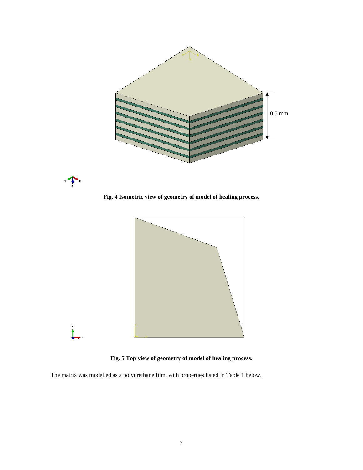

**Fig. 4 Isometric view of geometry of model of healing process.**

 $\mathbf{r}$ 



**Fig. 5 Top view of geometry of model of healing process.**

The matrix was modelled as a polyurethane film, with properties listed in Table 1 below.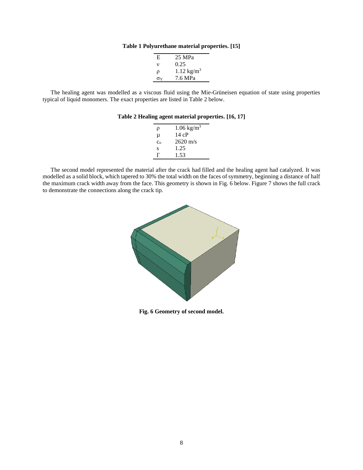**Table 1 Polyurethane material properties. [15]**

| E           | 25 MPa                |
|-------------|-----------------------|
| $\mathbf v$ | 0.25                  |
| ρ           | $1.12 \text{ kg/m}^3$ |
| σv          | 7.6 MPa               |

The healing agent was modelled as a viscous fluid using the Mie-Grüneisen equation of state using properties typical of liquid monomers. The exact properties are listed in Table 2 below.

# **Table 2 Healing agent material properties. [16, 17]**

| ρ            | $1.06 \text{ kg/m}^3$ |
|--------------|-----------------------|
| μ            | 14cP                  |
| $c_{\alpha}$ | $2620 \text{ m/s}$    |
| S            | 1.25                  |
| Ш,           | 1.53                  |

The second model represented the material after the crack had filled and the healing agent had catalyzed. It was modelled as a solid block, which tapered to 30% the total width on the faces of symmetry, beginning a distance of half the maximum crack width away from the face. This geometry is shown in Fig. 6 below. Figure 7 shows the full crack to demonstrate the connections along the crack tip.



**Fig. 6 Geometry of second model.**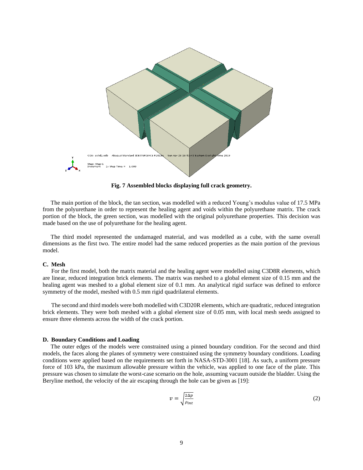

**Fig. 7 Assembled blocks displaying full crack geometry.**

The main portion of the block, the tan section, was modelled with a reduced Young's modulus value of 17.5 MPa from the polyurethane in order to represent the healing agent and voids within the polyurethane matrix. The crack portion of the block, the green section, was modelled with the original polyurethane properties. This decision was made based on the use of polyurethane for the healing agent.

The third model represented the undamaged material, and was modelled as a cube, with the same overall dimensions as the first two. The entire model had the same reduced properties as the main portion of the previous model.

#### **C. Mesh**

For the first model, both the matrix material and the healing agent were modelled using C3D8R elements, which are linear, reduced integration brick elements. The matrix was meshed to a global element size of 0.15 mm and the healing agent was meshed to a global element size of 0.1 mm. An analytical rigid surface was defined to enforce symmetry of the model, meshed with 0.5 mm rigid quadrilateral elements.

The second and third models were both modelled with C3D20R elements, which are quadratic, reduced integration brick elements. They were both meshed with a global element size of 0.05 mm, with local mesh seeds assigned to ensure three elements across the width of the crack portion.

#### **D. Boundary Conditions and Loading**

The outer edges of the models were constrained using a pinned boundary condition. For the second and third models, the faces along the planes of symmetry were constrained using the symmetry boundary conditions. Loading conditions were applied based on the requirements set forth in NASA-STD-3001 [18]. As such, a uniform pressure force of 103 kPa, the maximum allowable pressure within the vehicle, was applied to one face of the plate. This pressure was chosen to simulate the worst-case scenario on the hole, assuming vacuum outside the bladder. Using the Beryline method, the velocity of the air escaping through the hole can be given as [19]:

$$
v = \sqrt{\frac{2\Delta p}{\rho_{int}}} \tag{2}
$$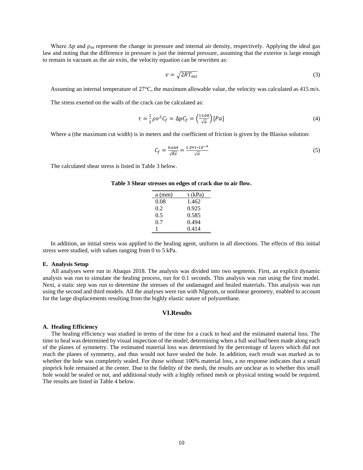Where  $\Delta p$  and  $\rho_{int}$  represent the change in pressure and internal air density, respectively. Applying the ideal gas law and noting that the difference in pressure is just the internal pressure, assuming that the exterior is large enough to remain in vacuum as the air exits, the velocity equation can be rewritten as:

$$
v = \sqrt{2RT_{int}}\tag{3}
$$

Assuming an internal temperature of 27°C, the maximum allowable value, the velocity was calculated as 415 m/s.

The stress exerted on the walls of the crack can be calculated as:

$$
\tau = \frac{1}{2}\rho v^2 C_f = \Delta p C_f = \left(\frac{13.08}{\sqrt{a}}\right)[Pa] \tag{4}
$$

Where a (the maximum cut width) is in meters and the coefficient of friction is given by the Blasius solution:

$$
C_f = \frac{0.664}{\sqrt{Re}} = \frac{1.291 \times 10^{-4}}{\sqrt{a}}
$$
 (5)

The calculated shear stress is listed in Table 3 below.

| $a$ (mm) | $\tau$ (kPa) |
|----------|--------------|
| 0.08     | 1.462        |
| 0.2      | 0.925        |
| 0.5      | 0.585        |
| 0.7      | 0.494        |
|          | 0.414        |

| Table 3 Shear stresses on edges of crack due to air flow. |  |  |  |  |  |
|-----------------------------------------------------------|--|--|--|--|--|
|-----------------------------------------------------------|--|--|--|--|--|

In addition, an initial stress was applied to the healing agent, uniform in all directions. The effects of this initial stress were studied, with values ranging from 0 to 5 kPa.

#### **E. Analysis Setup**

All analyses were run in Abaqus 2018. The analysis was divided into two segments. First, an explicit dynamic analysis was run to simulate the healing process, run for 0.1 seconds. This analysis was run using the first model. Next, a static step was run to determine the stresses of the undamaged and healed materials. This analysis was run using the second and third models. All the analyses were run with Nlgeom, or nonlinear geometry, enabled to account for the large displacements resulting from the highly elastic nature of polyurethane.

# **VI.Results**

#### **A. Healing Efficiency**

The healing efficiency was studied in terms of the time for a crack to heal and the estimated material loss. The time to heal was determined by visual inspection of the model, determining when a full seal had been made along each of the planes of symmetry. The estimated material loss was determined by the percentage of layers which did not reach the planes of symmetry, and thus would not have sealed the hole. In addition, each result was marked as to whether the hole was completely sealed. For those without 100% material loss, a no response indicates that a small pinprick hole remained at the center. Due to the fidelity of the mesh, the results are unclear as to whether this small hole would be sealed or not, and additional study with a highly refined mesh or physical testing would be required. The results are listed in Table 4 below.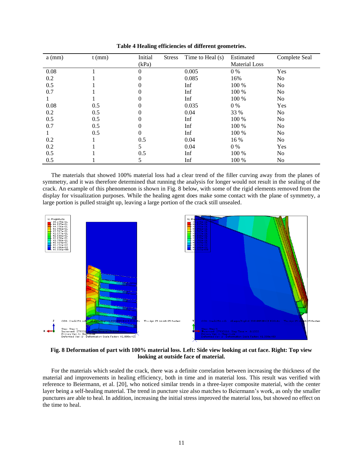| $a$ (mm) | $t$ (mm) | Initial  | <b>Stress</b> | Time to Heal $(s)$ | Estimated            | Complete Seal  |
|----------|----------|----------|---------------|--------------------|----------------------|----------------|
|          |          | (kPa)    |               |                    | <b>Material Loss</b> |                |
| 0.08     |          | 0        |               | 0.005              | $0\%$                | Yes            |
| 0.2      |          | $\theta$ |               | 0.085              | 16%                  | N <sub>o</sub> |
| 0.5      |          | $\theta$ |               | Inf                | 100 %                | No             |
| 0.7      |          | 0        |               | Inf                | 100 %                | N <sub>o</sub> |
|          |          | 0        |               | Inf                | 100 %                | No             |
| 0.08     | 0.5      | 0        |               | 0.035              | $0\%$                | Yes            |
| 0.2      | 0.5      | 0        |               | 0.04               | 33 %                 | No             |
| 0.5      | 0.5      | 0        |               | Inf                | 100 %                | No             |
| 0.7      | 0.5      | 0        |               | Inf                | 100 %                | No             |
|          | 0.5      | 0        |               | Inf                | 100 %                | No             |
| 0.2      |          | 0.5      |               | 0.04               | 16 %                 | N <sub>o</sub> |
| 0.2      |          | 5        |               | 0.04               | $0\%$                | Yes            |
| 0.5      |          | 0.5      |               | Inf                | 100 %                | No             |
| 0.5      |          |          |               | Inf                | 100 %                | No             |

**Table 4 Healing efficiencies of different geometries.**

The materials that showed 100% material loss had a clear trend of the filler curving away from the planes of symmetry, and it was therefore determined that running the analysis for longer would not result in the sealing of the crack. An example of this phenomenon is shown in Fig. 8 below, with some of the rigid elements removed from the display for visualization purposes. While the healing agent does make some contact with the plane of symmetry, a large portion is pulled straight up, leaving a large portion of the crack still unsealed.



**Fig. 8 Deformation of part with 100% material loss. Left: Side view looking at cut face. Right: Top view looking at outside face of material.**

For the materials which sealed the crack, there was a definite correlation between increasing the thickness of the material and improvements in healing efficiency, both in time and in material loss. This result was verified with reference to Beiermann, et al. [20], who noticed similar trends in a three-layer composite material, with the center layer being a self-healing material. The trend in puncture size also matches to Beiermann's work, as only the smaller punctures are able to heal. In addition, increasing the initial stress improved the material loss, but showed no effect on the time to heal.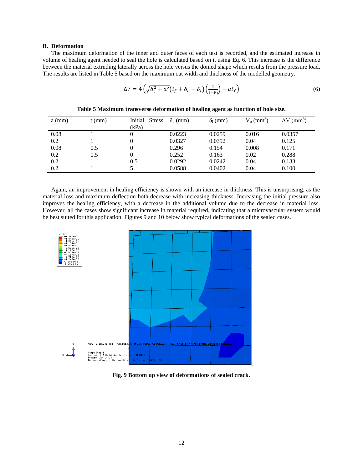# **B. Deformation**

The maximum deformation of the inner and outer faces of each test is recorded, and the estimated increase in volume of healing agent needed to seal the hole is calculated based on it using Eq. 6. This increase is the difference between the material extruding laterally across the hole versus the domed shape which results from the pressure load. The results are listed in Table 5 based on the maximum cut width and thickness of the modelled geometry.

$$
\Delta V = 4\left(\sqrt{\delta_i^2 + a^2}\left(t_f + \delta_o - \delta_i\right)\left(\frac{1}{1 - V_l}\right) - at_f\right) \tag{6}
$$

| $a$ (mm) | $t$ (mm) | Initial<br><b>Stress</b> | $\delta_0$ (mm) | $\delta_i$ (mm) | $V_0$ (mm <sup>3</sup> ) | $\Delta V$ (mm <sup>3</sup> ) |
|----------|----------|--------------------------|-----------------|-----------------|--------------------------|-------------------------------|
|          |          | (kPa)                    |                 |                 |                          |                               |
| 0.08     |          |                          | 0.0223          | 0.0259          | 0.016                    | 0.0357                        |
| 0.2      |          |                          | 0.0327          | 0.0392          | 0.04                     | 0.125                         |
| 0.08     | 0.5      |                          | 0.296           | 0.154           | 0.008                    | 0.171                         |
| 0.2      | 0.5      |                          | 0.252           | 0.163           | 0.02                     | 0.288                         |
| 0.2      |          | 0.5                      | 0.0292          | 0.0242          | 0.04                     | 0.133                         |
| 0.2      |          |                          | 0.0588          | 0.0402          | 0.04                     | 0.100                         |
|          |          |                          |                 |                 |                          |                               |

**Table 5 Maximum transverse deformation of healing agent as function of hole size.**

Again, an improvement in healing efficiency is shown with an increase in thickness. This is unsurprising, as the material loss and maximum deflection both decrease with increasing thickness. Increasing the initial pressure also improves the healing efficiency, with a decrease in the additional volume due to the decrease in material loss. However, all the cases show significant increase in material required, indicating that a microvascular system would be best suited for this application. Figures 9 and 10 below show typical deformations of the sealed cases.



**Fig. 9 Bottom up view of deformations of sealed crack.**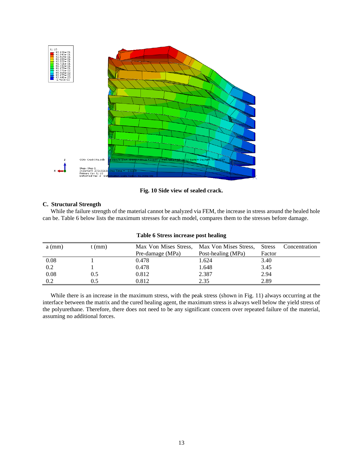

**Fig. 10 Side view of sealed crack.**

# **C. Structural Strength**

While the failure strength of the material cannot be analyzed via FEM, the increase in stress around the healed hole can be. Table 6 below lists the maximum stresses for each model, compares them to the stresses before damage.

| Twore o but can met can't pone meaning |        |                  |                                             |               |               |  |
|----------------------------------------|--------|------------------|---------------------------------------------|---------------|---------------|--|
| $a$ (mm)                               | t (mm) |                  | Max Von Mises Stress, Max Von Mises Stress, | <b>Stress</b> | Concentration |  |
|                                        |        | Pre-damage (MPa) | Post-healing (MPa)                          | Factor        |               |  |
| 0.08                                   |        | 0.478            | 1.624                                       | 3.40          |               |  |
| 0.2                                    |        | 0.478            | 1.648                                       | 3.45          |               |  |
| 0.08                                   | 0.5    | 0.812            | 2.387                                       | 2.94          |               |  |
| 0.2                                    | ).5    | 0.812            | 2.35                                        | 2.89          |               |  |

**Table 6 Stress increase post healing**

While there is an increase in the maximum stress, with the peak stress (shown in Fig. 11) always occurring at the interface between the matrix and the cured healing agent, the maximum stress is always well below the yield stress of the polyurethane. Therefore, there does not need to be any significant concern over repeated failure of the material, assuming no additional forces.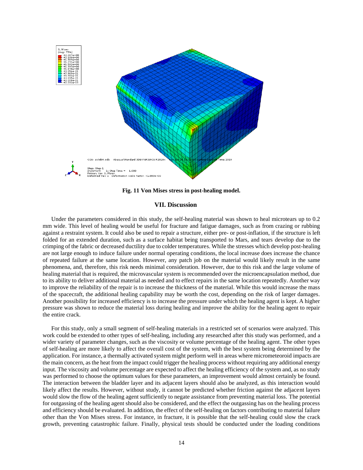

**Fig. 11 Von Mises stress in post-healing model.**

#### **VII. Discussion**

Under the parameters considered in this study, the self-healing material was shown to heal microtears up to 0.2 mm wide. This level of healing would be useful for fracture and fatigue damages, such as from crazing or rubbing against a restraint system. It could also be used to repair a structure, either pre- or post-inflation, if the structure is left folded for an extended duration, such as a surface habitat being transported to Mars, and tears develop due to the crimping of the fabric or decreased ductility due to colder temperatures. While the stresses which develop post-healing are not large enough to induce failure under normal operating conditions, the local increase does increase the chance of repeated failure at the same location. However, any patch job on the material would likely result in the same phenomena, and, therefore, this risk needs minimal consideration. However, due to this risk and the large volume of healing material that is required, the microvascular system is recommended over the microencapsulation method, due to its ability to deliver additional material as needed and to effect repairs in the same location repeatedly. Another way to improve the reliability of the repair is to increase the thickness of the material. While this would increase the mass of the spacecraft, the additional healing capability may be worth the cost, depending on the risk of larger damages. Another possibility for increased efficiency is to increase the pressure under which the healing agent is kept. A higher pressure was shown to reduce the material loss during healing and improve the ability for the healing agent to repair the entire crack.

For this study, only a small segment of self-healing materials in a restricted set of scenarios were analyzed. This work could be extended to other types of self-healing, including any researched after this study was performed, and a wider variety of parameter changes, such as the viscosity or volume percentage of the healing agent. The other types of self-healing are more likely to affect the overall cost of the system, with the best system being determined by the application. For instance, a thermally activated system might perform well in areas where micrometeoroid impacts are the main concern, as the heat from the impact could trigger the healing process without requiring any additional energy input. The viscosity and volume percentage are expected to affect the healing efficiency of the system and, as no study was performed to choose the optimum values for these parameters, an improvement would almost certainly be found. The interaction between the bladder layer and its adjacent layers should also be analyzed, as this interaction would likely affect the results. However, without study, it cannot be predicted whether friction against the adjacent layers would slow the flow of the healing agent sufficiently to negate assistance from preventing material loss. The potential for outgassing of the healing agent should also be considered, and the effect the outgassing has on the healing process and efficiency should be evaluated. In addition, the effect of the self-healing on factors contributing to material failure other than the Von Mises stress. For instance, in fracture, it is possible that the self-healing could slow the crack growth, preventing catastrophic failure. Finally, physical tests should be conducted under the loading conditions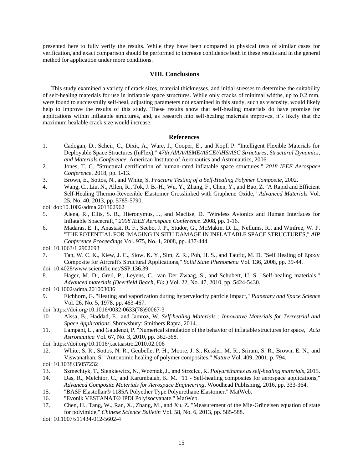presented here to fully verify the results. While they have been compared to physical tests of similar cases for verification, and exact comparison should be performed to increase confidence both in these results and in the general method for application under more conditions.

# **VIII. Conclusions**

This study examined a variety of crack sizes, material thicknesses, and initial stresses to determine the suitability of self-healing materials for use in inflatable space structures. While only cracks of minimal widths, up to 0.2 mm, were found to successfully self-heal, adjusting parameters not examined in this study, such as viscosity, would likely help to improve the results of this study. These results show that self-healing materials do have promise for applications within inflatable structures, and, as research into self-healing materials improves, it's likely that the maximum healable crack size would increase.

# **References**

- 1. Cadogan, D., Scheir, C., Dixit, A., Ware, J., Cooper, E., and Kopf, P. "Intelligent Flexible Materials for Deployable Space Structures (InFlex)," *47th AIAA/ASME/ASCE/AHS/ASC Structures, Structural Dynamics, and Materials Conference*. American Institute of Aeronautics and Astronautics, 2006.
- 2. Jones, T. C. "Structural certification of human-rated inflatable space structures," *2018 IEEE Aerospace Conference*. 2018, pp. 1-13.
- 3. Brown, E., Sottos, N., and White, S. *Fracture Testing of a Self-Healing Polymer Composite*, 2002.
- 4. Wang, C., Liu, N., Allen, R., Tok, J. B.-H., Wu, Y., Zhang, F., Chen, Y., and Bao, Z. "A Rapid and Efficient Self-Healing Thermo-Reversible Elastomer Crosslinked with Graphene Oxide," *Advanced Materials* Vol. 25, No. 40, 2013, pp. 5785-5790.

doi: doi:10.1002/adma.201302962

- 5. Alena, R., Ellis, S. R., Hieronymus, J., and Maclise, D. "Wireless Avionics and Human Interfaces for Inflatable Spacecraft," *2008 IEEE Aerospace Conference*. 2008, pp. 1-16.
- 6. Madaras, E. I., Anastasi, R. F., Seebo, J. P., Studor, G., McMakin, D. L., Nellums, R., and Winfree, W. P. "THE POTENTIAL FOR IMAGING IN SITU DAMAGE IN INFLATABLE SPACE STRUCTURES," *AIP Conference Proceedings* Vol. 975, No. 1, 2008, pp. 437-444.
- doi: 10.1063/1.2902693
- 7. Tan, W. C. K., Kiew, J. C., Siow, K. Y., Sim, Z. R., Poh, H. S., and Taufiq, M. D. "Self Healing of Epoxy Composite for Aircraft's Structural Applications," *Solid State Phenomena* Vol. 136, 2008, pp. 39-44.
- doi: 10.4028/www.scientific.net/SSP.136.39
- 8. Hager, M. D., Greil, P., Leyens, C., van Der Zwaag, S., and Schubert, U. S. "Self-healing materials," *Advanced materials (Deerfield Beach, Fla.)* Vol. 22, No. 47, 2010, pp. 5424-5430.
- doi: 10.1002/adma.201003036
- 9. Eichhorn, G. "Heating and vaporization during hypervelocity particle impact," *Planetary and Space Science* Vol. 26, No. 5, 1978, pp. 463-467.
- doi: https://doi.org/10.1016/0032-0633(78)90067-3
- 10. Aïssa, B., Haddad, E., and Jamroz, W. *Self-healing Materials : Innovative Materials for Terrestrial and Space Applications*. Shrewsbury: Smithers Rapra, 2014.
- 11. Lampani, L., and Gaudenzi, P. "Numerical simulation of the behavior of inflatable structures for space," *Acta Astronautica* Vol. 67, No. 3, 2010, pp. 362-368.
- doi: https://doi.org/10.1016/j.actaastro.2010.02.006
- 12. White, S. R., Sottos, N. R., Geubelle, P. H., Moore, J. S., Kessler, M. R., Sriram, S. R., Brown, E. N., and Viswanathan, S. "Autonomic healing of polymer composites," *Nature* Vol. 409, 2001, p. 794. doi: 10.1038/35057232
- 13. Szmechtyk, T., Sienkiewicz, N., Woźniak, J., and Strzelec, K. *Polyurethanes as self-healing materials*, 2015.
- 14. Das, R., Melchior, C., and Karumbaiah, K. M. "11 Self-healing composites for aerospace applications," *Advanced Composite Materials for Aerospace Engineering*. Woodhead Publishing, 2016, pp. 333-364.
- 15. "BASF Elastollan® 1185A Polyether Type Polyurethane Elastomer." MatWeb.
- 16. "Evonik VESTANAT® IPDI Polyisocyanate." MatWeb.
- 17. Chen, H., Tang, W., Ran, X., Zhang, M., and Xu, Z. "Measurement of the Mie-Grüneisen equation of state for polyimide," *Chinese Science Bulletin* Vol. 58, No. 6, 2013, pp. 585-588.

doi: 10.1007/s11434-012-5602-4